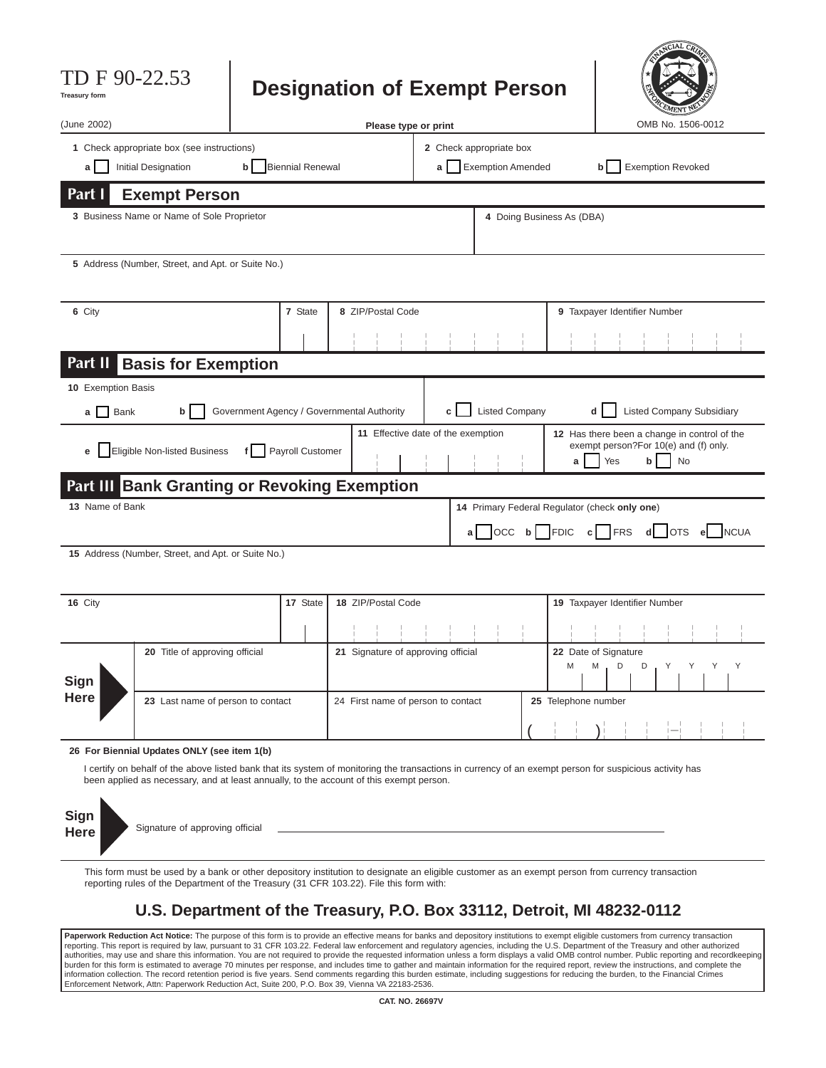| TDF90-22.53<br><b>Treasury form</b>                                                                                                                                                                                                                                                                                                                  |                                                                                                                                                                                                                                             |                                |                                                      | <b>Designation of Exempt Person</b>        |                                    |                           |                       |                               |                                     |                              | NCIAL CA                         |  |             |
|------------------------------------------------------------------------------------------------------------------------------------------------------------------------------------------------------------------------------------------------------------------------------------------------------------------------------------------------------|---------------------------------------------------------------------------------------------------------------------------------------------------------------------------------------------------------------------------------------------|--------------------------------|------------------------------------------------------|--------------------------------------------|------------------------------------|---------------------------|-----------------------|-------------------------------|-------------------------------------|------------------------------|----------------------------------|--|-------------|
| (June 2002)                                                                                                                                                                                                                                                                                                                                          |                                                                                                                                                                                                                                             |                                |                                                      | Please type or print                       |                                    |                           |                       |                               |                                     |                              | OMB No. 1506-0012                |  |             |
| 1 Check appropriate box (see instructions)                                                                                                                                                                                                                                                                                                           |                                                                                                                                                                                                                                             |                                |                                                      |                                            |                                    | 2 Check appropriate box   |                       |                               |                                     |                              |                                  |  |             |
| Initial Designation<br>a l                                                                                                                                                                                                                                                                                                                           | <b>Biennial Renewal</b>                                                                                                                                                                                                                     | a I                            | <b>Exemption Amended</b><br><b>Exemption Revoked</b> |                                            |                                    |                           |                       |                               |                                     |                              |                                  |  |             |
| Part I                                                                                                                                                                                                                                                                                                                                               | <b>Exempt Person</b>                                                                                                                                                                                                                        |                                |                                                      |                                            |                                    |                           |                       |                               |                                     |                              |                                  |  |             |
| 3 Business Name or Name of Sole Proprietor                                                                                                                                                                                                                                                                                                           |                                                                                                                                                                                                                                             |                                |                                                      |                                            |                                    | 4 Doing Business As (DBA) |                       |                               |                                     |                              |                                  |  |             |
| 5 Address (Number, Street, and Apt. or Suite No.)                                                                                                                                                                                                                                                                                                    |                                                                                                                                                                                                                                             |                                |                                                      |                                            |                                    |                           |                       |                               |                                     |                              |                                  |  |             |
| 6 City                                                                                                                                                                                                                                                                                                                                               |                                                                                                                                                                                                                                             |                                | 7 State                                              | 8 ZIP/Postal Code                          |                                    |                           |                       |                               |                                     | 9 Taxpayer Identifier Number |                                  |  |             |
|                                                                                                                                                                                                                                                                                                                                                      |                                                                                                                                                                                                                                             |                                |                                                      |                                            |                                    |                           |                       |                               |                                     |                              |                                  |  |             |
| Part II                                                                                                                                                                                                                                                                                                                                              | <b>Basis for Exemption</b>                                                                                                                                                                                                                  |                                |                                                      |                                            |                                    |                           |                       |                               |                                     |                              |                                  |  |             |
| 10 Exemption Basis<br><b>Bank</b><br>a I                                                                                                                                                                                                                                                                                                             | b                                                                                                                                                                                                                                           |                                |                                                      | Government Agency / Governmental Authority |                                    |                           | <b>Listed Company</b> |                               | d                                   |                              | <b>Listed Company Subsidiary</b> |  |             |
| 11 Effective date of the exemption<br>12 Has there been a change in control of the<br>exempt person?For 10(e) and (f) only.<br>Eligible Non-listed Business<br>Payroll Customer<br>e I<br>Yes<br><b>No</b><br>b<br>a                                                                                                                                 |                                                                                                                                                                                                                                             |                                |                                                      |                                            |                                    |                           |                       |                               |                                     |                              |                                  |  |             |
|                                                                                                                                                                                                                                                                                                                                                      | <b>Part III Bank Granting or Revoking Exemption</b>                                                                                                                                                                                         |                                |                                                      |                                            |                                    |                           |                       |                               |                                     |                              |                                  |  |             |
| 13 Name of Bank<br>14 Primary Federal Regulator (check only one)                                                                                                                                                                                                                                                                                     |                                                                                                                                                                                                                                             |                                |                                                      |                                            |                                    |                           |                       |                               |                                     |                              |                                  |  |             |
|                                                                                                                                                                                                                                                                                                                                                      |                                                                                                                                                                                                                                             |                                |                                                      |                                            |                                    | aΙ                        | $OCC$ b               |                               | <b>FDIC</b><br>c                    | FRS<br>d                     | OTS el                           |  | <b>NCUA</b> |
|                                                                                                                                                                                                                                                                                                                                                      | 15 Address (Number, Street, and Apt. or Suite No.)                                                                                                                                                                                          |                                |                                                      |                                            |                                    |                           |                       |                               |                                     |                              |                                  |  |             |
| 16 City                                                                                                                                                                                                                                                                                                                                              |                                                                                                                                                                                                                                             | 17 State<br>18 ZIP/Postal Code |                                                      |                                            |                                    |                           |                       | 19 Taxpayer Identifier Number |                                     |                              |                                  |  |             |
|                                                                                                                                                                                                                                                                                                                                                      |                                                                                                                                                                                                                                             |                                |                                                      |                                            |                                    |                           |                       |                               |                                     |                              |                                  |  |             |
| Sign                                                                                                                                                                                                                                                                                                                                                 | 20 Title of approving official                                                                                                                                                                                                              |                                |                                                      |                                            | 21 Signature of approving official | M                         |                       |                               | 22 Date of Signature<br>D<br>D<br>M |                              |                                  |  |             |
| Here                                                                                                                                                                                                                                                                                                                                                 | 23 Last name of person to contact                                                                                                                                                                                                           |                                |                                                      |                                            | 24 First name of person to contact |                           |                       |                               | 25 Telephone number                 |                              |                                  |  |             |
|                                                                                                                                                                                                                                                                                                                                                      |                                                                                                                                                                                                                                             |                                |                                                      |                                            |                                    |                           |                       |                               |                                     |                              |                                  |  |             |
| 26 For Biennial Updates ONLY (see item 1(b)<br>I certify on behalf of the above listed bank that its system of monitoring the transactions in currency of an exempt person for suspicious activity has<br>been applied as necessary, and at least annually, to the account of this exempt person.<br>Sign<br>Signature of approving official<br>Here |                                                                                                                                                                                                                                             |                                |                                                      |                                            |                                    |                           |                       |                               |                                     |                              |                                  |  |             |
|                                                                                                                                                                                                                                                                                                                                                      | This form must be used by a bank or other depository institution to designate an eligible customer as an exempt person from currency transaction<br>reporting rules of the Department of the Treasury (31 CFR 103.22). File this form with: |                                |                                                      |                                            |                                    |                           |                       |                               |                                     |                              |                                  |  |             |
|                                                                                                                                                                                                                                                                                                                                                      | U.S. Department of the Treasury, P.O. Box 33112, Detroit, MI 48232-0112                                                                                                                                                                     |                                |                                                      |                                            |                                    |                           |                       |                               |                                     |                              |                                  |  |             |

÷

**Paperwork Reduction Act Notice:** The purpose of this form is to provide an effective means for banks and depository institutions to exempt eligible customers from currency transaction<br>reporting. This report is required by burden for this form is estimated to average 70 minutes per response, and includes time to gather and maintain information for the required report, review the instructions, and complete the information collection. The record retention period is five years. Send comments regarding this burden estimate, including suggestions for reducing the burden, to the Financial Crimes<br>Enforcement Network, Attn: Paperwork R